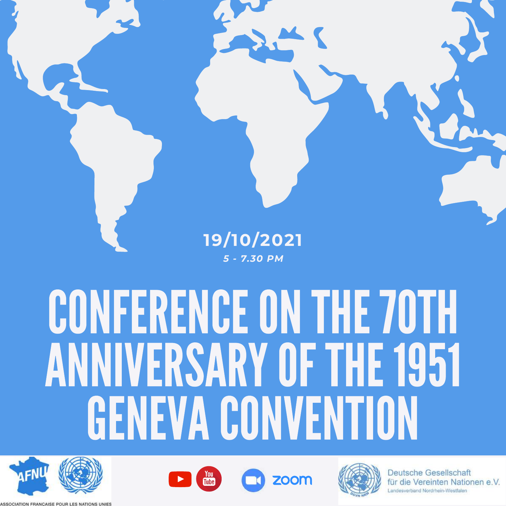## **19/10/2021** *5 - 7.30 PM*

## CONFERENCEONTHE 70TH ANNIVERSARY OF THE 1951 **GENEVA CONVENTION**











**Deutsche Gesellschaft** für die Vereinten Nationen e.V. Landesverband Nordrhein-Westfalen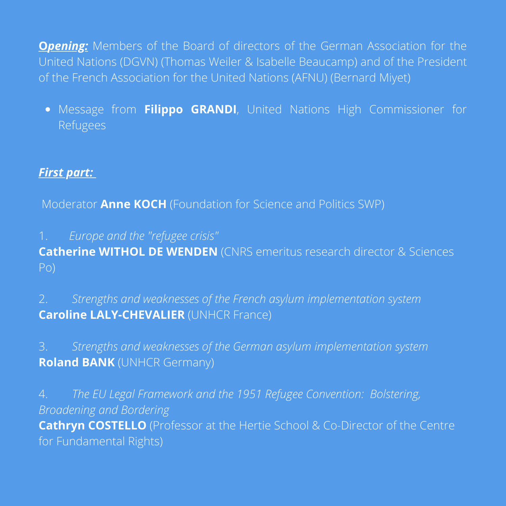**Opening:** Members of the Board of directors of the German Association for the United Nations (DGVN) (Thomas Weiler & Isabelle Beaucamp) and of the President of the French Association for the United Nations (AFNU) (Bernard Miyet)

Message from **Filippo GRANDI**, United Nations High Commissioner for Refugees

## *First part:*

Moderator **Anne KOCH** (Foundation for Science and Politics SWP)

1. *Europe and the "refugee crisis"*

**Catherine WITHOL DE WENDEN** (CNRS emeritus research director & Sciences Po)

2. *Strengths and weaknesses of the French asylum implementation system* **Caroline LALY-CHEVALIER** (UNHCR France)

3. *Strengths and weaknesses of the German asylum implementation system* **Roland BANK** (UNHCR Germany)

4. *The EU Legal Framework and the 1951 Refugee Convention: Bolstering, Broadening and Bordering* **Cathryn COSTELLO** (Professor at the Hertie School & Co-Director of the Centre for Fundamental Rights)